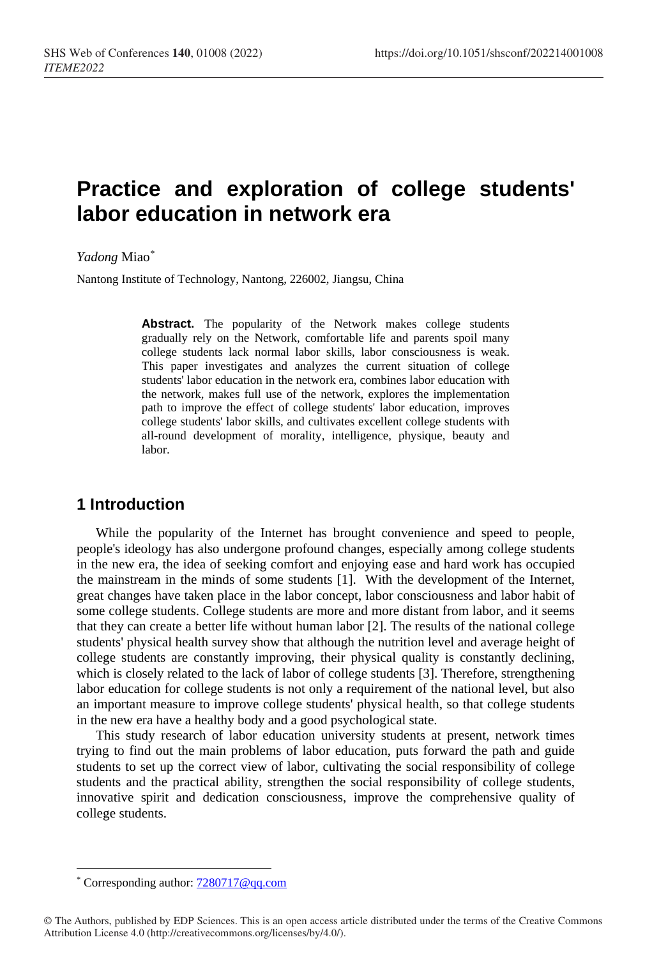# **Practice and exploration of college students' labor education in network era**

*Yadong* Miao[\\*](#page-0-0)

Nantong Institute of Technology, Nantong, 226002, Jiangsu, China

**Abstract.** The popularity of the Network makes college students gradually rely on the Network, comfortable life and parents spoil many college students lack normal labor skills, labor consciousness is weak. This paper investigates and analyzes the current situation of college students' labor education in the network era, combines labor education with the network, makes full use of the network, explores the implementation path to improve the effect of college students' labor education, improves college students' labor skills, and cultivates excellent college students with all-round development of morality, intelligence, physique, beauty and labor.

### **1 Introduction**

While the popularity of the Internet has brought convenience and speed to people, people's ideology has also undergone profound changes, especially among college students in the new era, the idea of seeking comfort and enjoying ease and hard work has occupied the mainstream in the minds of some students [1]. With the development of the Internet, great changes have taken place in the labor concept, labor consciousness and labor habit of some college students. College students are more and more distant from labor, and it seems that they can create a better life without human labor [2]. The results of the national college students' physical health survey show that although the nutrition level and average height of college students are constantly improving, their physical quality is constantly declining, which is closely related to the lack of labor of college students [3]. Therefore, strengthening labor education for college students is not only a requirement of the national level, but also an important measure to improve college students' physical health, so that college students in the new era have a healthy body and a good psychological state.

This study research of labor education university students at present, network times trying to find out the main problems of labor education, puts forward the path and guide students to set up the correct view of labor, cultivating the social responsibility of college students and the practical ability, strengthen the social responsibility of college students, innovative spirit and dedication consciousness, improve the comprehensive quality of college students.

 $\overline{a}$ 

<span id="page-0-0"></span>Corresponding author:  $7280717@qq.com$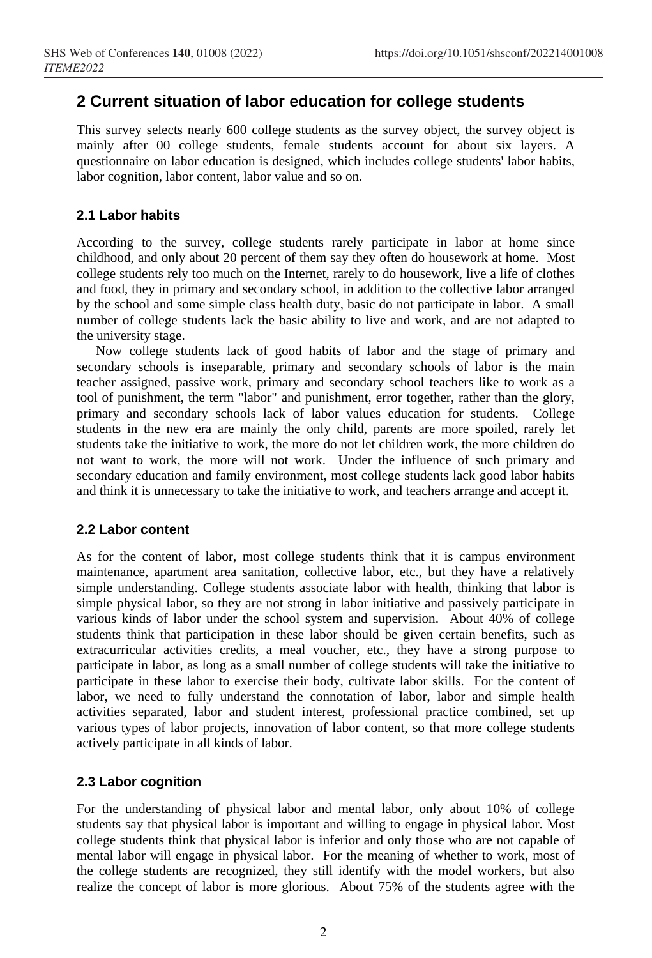# **2 Current situation of labor education for college students**

This survey selects nearly 600 college students as the survey object, the survey object is mainly after 00 college students, female students account for about six layers. A questionnaire on labor education is designed, which includes college students' labor habits, labor cognition, labor content, labor value and so on.

#### **2.1 Labor habits**

According to the survey, college students rarely participate in labor at home since childhood, and only about 20 percent of them say they often do housework at home. Most college students rely too much on the Internet, rarely to do housework, live a life of clothes and food, they in primary and secondary school, in addition to the collective labor arranged by the school and some simple class health duty, basic do not participate in labor. A small number of college students lack the basic ability to live and work, and are not adapted to the university stage.

Now college students lack of good habits of labor and the stage of primary and secondary schools is inseparable, primary and secondary schools of labor is the main teacher assigned, passive work, primary and secondary school teachers like to work as a tool of punishment, the term "labor" and punishment, error together, rather than the glory, primary and secondary schools lack of labor values education for students. College students in the new era are mainly the only child, parents are more spoiled, rarely let students take the initiative to work, the more do not let children work, the more children do not want to work, the more will not work. Under the influence of such primary and secondary education and family environment, most college students lack good labor habits and think it is unnecessary to take the initiative to work, and teachers arrange and accept it.

#### **2.2 Labor content**

As for the content of labor, most college students think that it is campus environment maintenance, apartment area sanitation, collective labor, etc., but they have a relatively simple understanding. College students associate labor with health, thinking that labor is simple physical labor, so they are not strong in labor initiative and passively participate in various kinds of labor under the school system and supervision. About 40% of college students think that participation in these labor should be given certain benefits, such as extracurricular activities credits, a meal voucher, etc., they have a strong purpose to participate in labor, as long as a small number of college students will take the initiative to participate in these labor to exercise their body, cultivate labor skills. For the content of labor, we need to fully understand the connotation of labor, labor and simple health activities separated, labor and student interest, professional practice combined, set up various types of labor projects, innovation of labor content, so that more college students actively participate in all kinds of labor.

#### **2.3 Labor cognition**

For the understanding of physical labor and mental labor, only about 10% of college students say that physical labor is important and willing to engage in physical labor. Most college students think that physical labor is inferior and only those who are not capable of mental labor will engage in physical labor. For the meaning of whether to work, most of the college students are recognized, they still identify with the model workers, but also realize the concept of labor is more glorious. About 75% of the students agree with the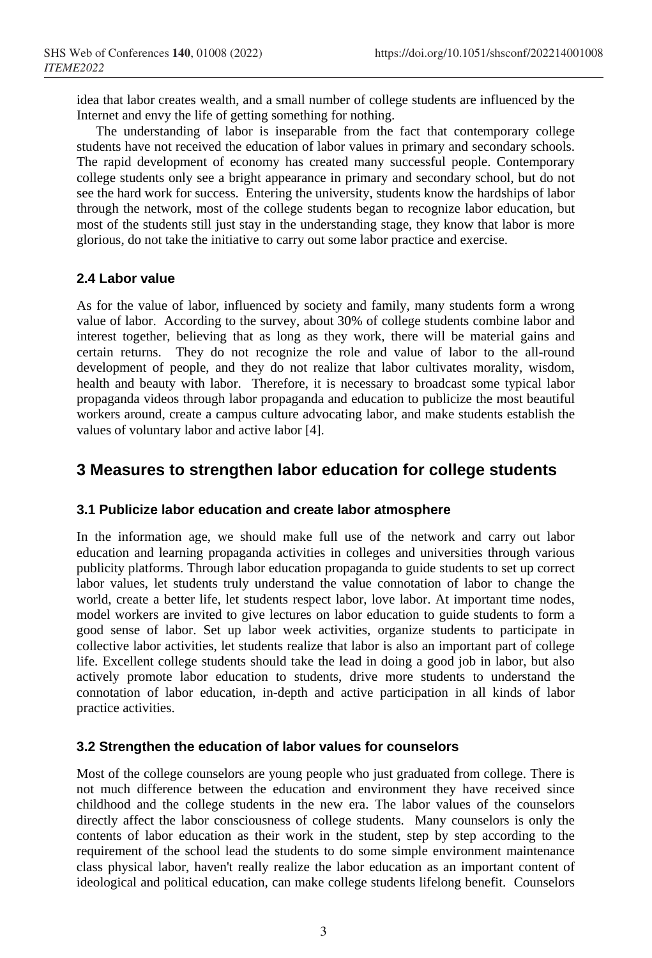idea that labor creates wealth, and a small number of college students are influenced by the Internet and envy the life of getting something for nothing.

The understanding of labor is inseparable from the fact that contemporary college students have not received the education of labor values in primary and secondary schools. The rapid development of economy has created many successful people. Contemporary college students only see a bright appearance in primary and secondary school, but do not see the hard work for success. Entering the university, students know the hardships of labor through the network, most of the college students began to recognize labor education, but most of the students still just stay in the understanding stage, they know that labor is more glorious, do not take the initiative to carry out some labor practice and exercise.

### **2.4 Labor value**

As for the value of labor, influenced by society and family, many students form a wrong value of labor. According to the survey, about 30% of college students combine labor and interest together, believing that as long as they work, there will be material gains and certain returns. They do not recognize the role and value of labor to the all-round development of people, and they do not realize that labor cultivates morality, wisdom, health and beauty with labor. Therefore, it is necessary to broadcast some typical labor propaganda videos through labor propaganda and education to publicize the most beautiful workers around, create a campus culture advocating labor, and make students establish the values of voluntary labor and active labor [4].

### **3 Measures to strengthen labor education for college students**

#### **3.1 Publicize labor education and create labor atmosphere**

In the information age, we should make full use of the network and carry out labor education and learning propaganda activities in colleges and universities through various publicity platforms. Through labor education propaganda to guide students to set up correct labor values, let students truly understand the value connotation of labor to change the world, create a better life, let students respect labor, love labor. At important time nodes, model workers are invited to give lectures on labor education to guide students to form a good sense of labor. Set up labor week activities, organize students to participate in collective labor activities, let students realize that labor is also an important part of college life. Excellent college students should take the lead in doing a good job in labor, but also actively promote labor education to students, drive more students to understand the connotation of labor education, in-depth and active participation in all kinds of labor practice activities.

#### **3.2 Strengthen the education of labor values for counselors**

Most of the college counselors are young people who just graduated from college. There is not much difference between the education and environment they have received since childhood and the college students in the new era. The labor values of the counselors directly affect the labor consciousness of college students. Many counselors is only the contents of labor education as their work in the student, step by step according to the requirement of the school lead the students to do some simple environment maintenance class physical labor, haven't really realize the labor education as an important content of ideological and political education, can make college students lifelong benefit. Counselors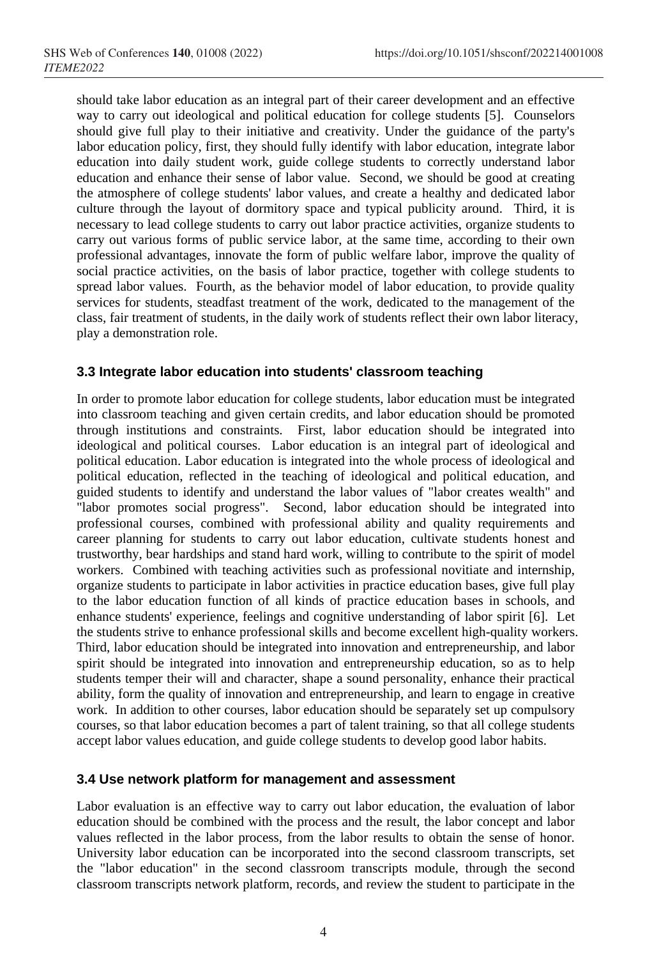should take labor education as an integral part of their career development and an effective way to carry out ideological and political education for college students [5]. Counselors should give full play to their initiative and creativity. Under the guidance of the party's labor education policy, first, they should fully identify with labor education, integrate labor education into daily student work, guide college students to correctly understand labor education and enhance their sense of labor value. Second, we should be good at creating the atmosphere of college students' labor values, and create a healthy and dedicated labor culture through the layout of dormitory space and typical publicity around. Third, it is necessary to lead college students to carry out labor practice activities, organize students to carry out various forms of public service labor, at the same time, according to their own professional advantages, innovate the form of public welfare labor, improve the quality of social practice activities, on the basis of labor practice, together with college students to spread labor values. Fourth, as the behavior model of labor education, to provide quality services for students, steadfast treatment of the work, dedicated to the management of the class, fair treatment of students, in the daily work of students reflect their own labor literacy, play a demonstration role.

### **3.3 Integrate labor education into students' classroom teaching**

In order to promote labor education for college students, labor education must be integrated into classroom teaching and given certain credits, and labor education should be promoted through institutions and constraints. First, labor education should be integrated into ideological and political courses. Labor education is an integral part of ideological and political education. Labor education is integrated into the whole process of ideological and political education, reflected in the teaching of ideological and political education, and guided students to identify and understand the labor values of "labor creates wealth" and "labor promotes social progress". Second, labor education should be integrated into professional courses, combined with professional ability and quality requirements and career planning for students to carry out labor education, cultivate students honest and trustworthy, bear hardships and stand hard work, willing to contribute to the spirit of model workers. Combined with teaching activities such as professional novitiate and internship, organize students to participate in labor activities in practice education bases, give full play to the labor education function of all kinds of practice education bases in schools, and enhance students' experience, feelings and cognitive understanding of labor spirit [6]. Let the students strive to enhance professional skills and become excellent high-quality workers. Third, labor education should be integrated into innovation and entrepreneurship, and labor spirit should be integrated into innovation and entrepreneurship education, so as to help students temper their will and character, shape a sound personality, enhance their practical ability, form the quality of innovation and entrepreneurship, and learn to engage in creative work. In addition to other courses, labor education should be separately set up compulsory courses, so that labor education becomes a part of talent training, so that all college students accept labor values education, and guide college students to develop good labor habits.

#### **3.4 Use network platform for management and assessment**

Labor evaluation is an effective way to carry out labor education, the evaluation of labor education should be combined with the process and the result, the labor concept and labor values reflected in the labor process, from the labor results to obtain the sense of honor. University labor education can be incorporated into the second classroom transcripts, set the "labor education" in the second classroom transcripts module, through the second classroom transcripts network platform, records, and review the student to participate in the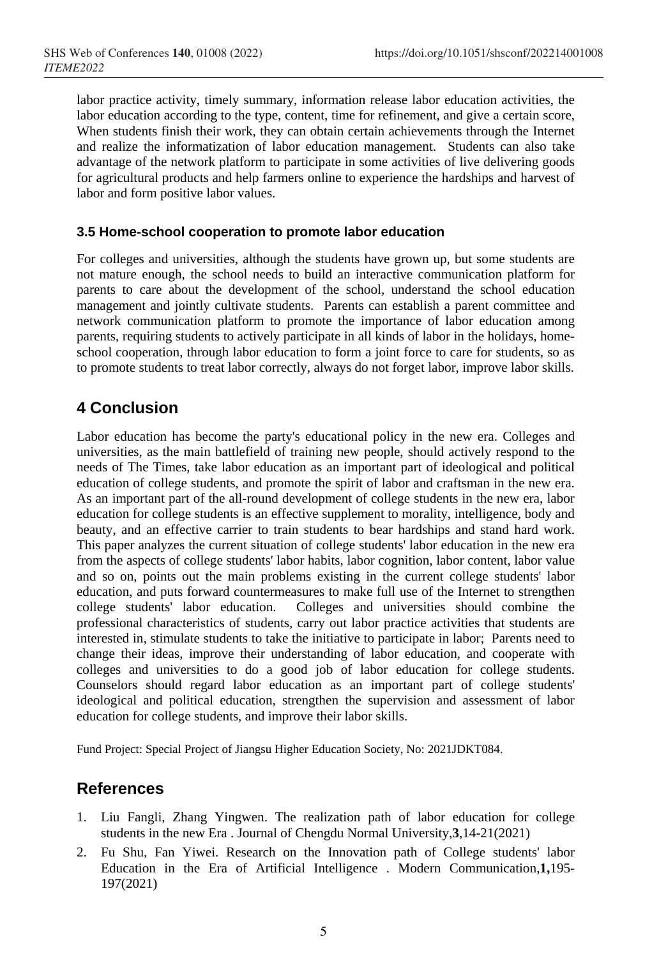labor practice activity, timely summary, information release labor education activities, the labor education according to the type, content, time for refinement, and give a certain score, When students finish their work, they can obtain certain achievements through the Internet and realize the informatization of labor education management. Students can also take advantage of the network platform to participate in some activities of live delivering goods for agricultural products and help farmers online to experience the hardships and harvest of labor and form positive labor values.

### **3.5 Home-school cooperation to promote labor education**

For colleges and universities, although the students have grown up, but some students are not mature enough, the school needs to build an interactive communication platform for parents to care about the development of the school, understand the school education management and jointly cultivate students. Parents can establish a parent committee and network communication platform to promote the importance of labor education among parents, requiring students to actively participate in all kinds of labor in the holidays, homeschool cooperation, through labor education to form a joint force to care for students, so as to promote students to treat labor correctly, always do not forget labor, improve labor skills.

# **4 Conclusion**

Labor education has become the party's educational policy in the new era. Colleges and universities, as the main battlefield of training new people, should actively respond to the needs of The Times, take labor education as an important part of ideological and political education of college students, and promote the spirit of labor and craftsman in the new era. As an important part of the all-round development of college students in the new era, labor education for college students is an effective supplement to morality, intelligence, body and beauty, and an effective carrier to train students to bear hardships and stand hard work. This paper analyzes the current situation of college students' labor education in the new era from the aspects of college students' labor habits, labor cognition, labor content, labor value and so on, points out the main problems existing in the current college students' labor education, and puts forward countermeasures to make full use of the Internet to strengthen college students' labor education. Colleges and universities should combine the professional characteristics of students, carry out labor practice activities that students are interested in, stimulate students to take the initiative to participate in labor; Parents need to change their ideas, improve their understanding of labor education, and cooperate with colleges and universities to do a good job of labor education for college students. Counselors should regard labor education as an important part of college students' ideological and political education, strengthen the supervision and assessment of labor education for college students, and improve their labor skills.

Fund Project: Special Project of Jiangsu Higher Education Society, No: 2021JDKT084.

# **References**

- 1. Liu Fangli, Zhang Yingwen. The realization path of labor education for college students in the new Era . Journal of Chengdu Normal University,**3**,14-21(2021)
- 2. Fu Shu, Fan Yiwei. Research on the Innovation path of College students' labor Education in the Era of Artificial Intelligence . Modern Communication,**1,**195- 197(2021)